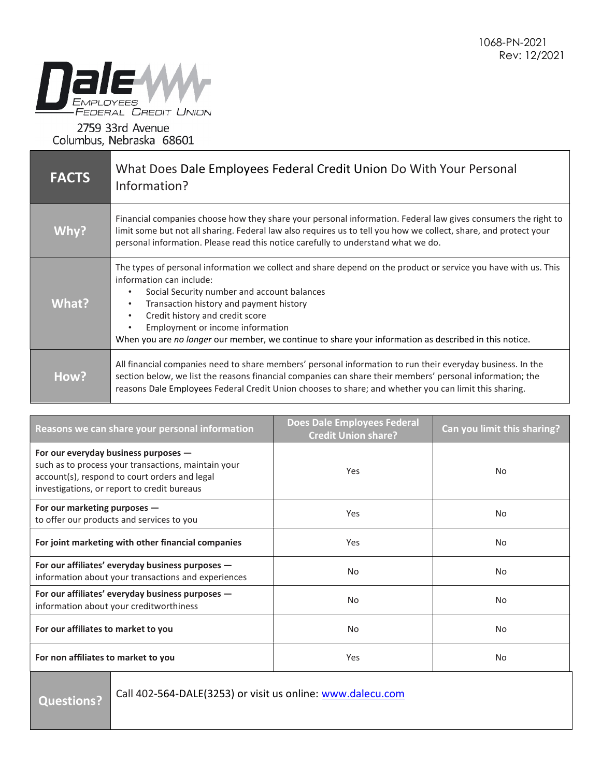

## 2759 33rd Avenue Columbus, Nebraska 68601

| <b>FACTS</b> | What Does Dale Employees Federal Credit Union Do With Your Personal<br>Information?                                                                                                                                                                                                                                                                                                                                                                      |
|--------------|----------------------------------------------------------------------------------------------------------------------------------------------------------------------------------------------------------------------------------------------------------------------------------------------------------------------------------------------------------------------------------------------------------------------------------------------------------|
| Why?         | Financial companies choose how they share your personal information. Federal law gives consumers the right to<br>limit some but not all sharing. Federal law also requires us to tell you how we collect, share, and protect your<br>personal information. Please read this notice carefully to understand what we do.                                                                                                                                   |
| What?        | The types of personal information we collect and share depend on the product or service you have with us. This<br>information can include:<br>Social Security number and account balances<br>$\bullet$<br>Transaction history and payment history<br>٠<br>Credit history and credit score<br>$\bullet$<br>Employment or income information<br>٠<br>When you are no longer our member, we continue to share your information as described in this notice. |
| How?         | All financial companies need to share members' personal information to run their everyday business. In the<br>section below, we list the reasons financial companies can share their members' personal information; the<br>reasons Dale Employees Federal Credit Union chooses to share; and whether you can limit this sharing.                                                                                                                         |

| Reasons we can share your personal information                                                                                                                                                | <b>Does Dale Employees Federal</b><br><b>Credit Union share?</b> | Can you limit this sharing? |
|-----------------------------------------------------------------------------------------------------------------------------------------------------------------------------------------------|------------------------------------------------------------------|-----------------------------|
| For our everyday business purposes $-$<br>such as to process your transactions, maintain your<br>account(s), respond to court orders and legal<br>investigations, or report to credit bureaus | Yes                                                              | No                          |
| For our marketing purposes $-$<br>to offer our products and services to you                                                                                                                   | Yes                                                              | No                          |
| For joint marketing with other financial companies                                                                                                                                            | Yes                                                              | No                          |
| For our affiliates' everyday business purposes -<br>information about your transactions and experiences                                                                                       | No.                                                              | No                          |
| For our affiliates' everyday business purposes -<br>information about your creditworthiness                                                                                                   | No.                                                              | No                          |
| For our affiliates to market to you                                                                                                                                                           | No.                                                              | No.                         |
| For non affiliates to market to you                                                                                                                                                           | Yes                                                              | No.                         |

Questions?

Call 402-564-DALE(3253) or visit us online: www.dalecu.com